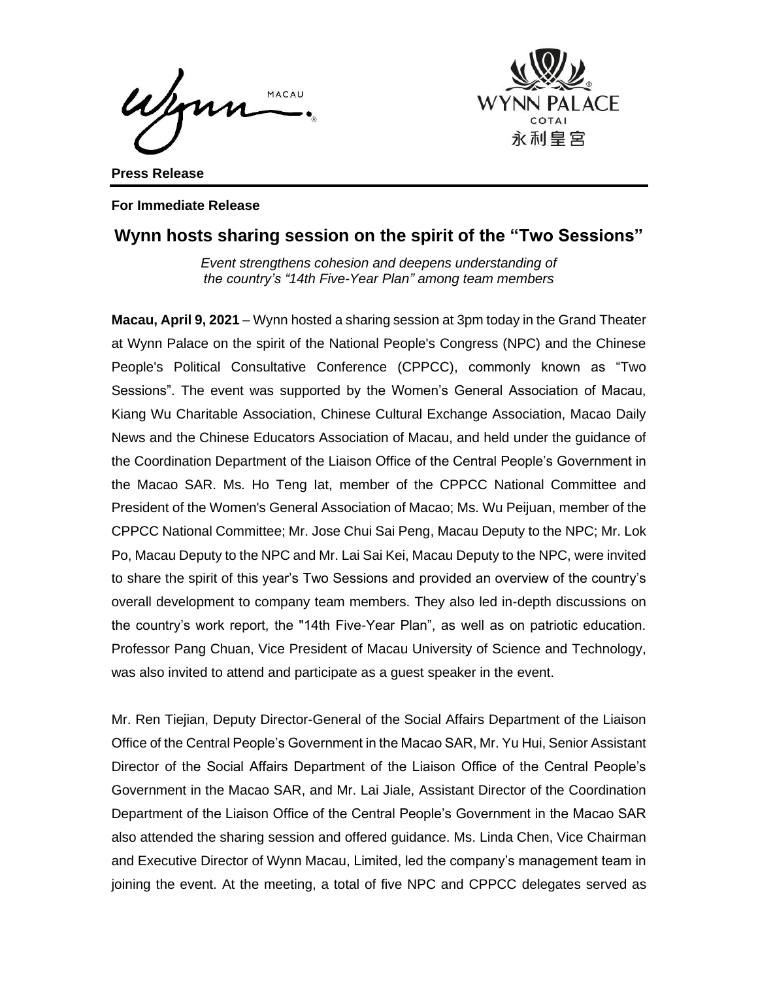Wonn MACAU



**Press Release**

#### **For Immediate Release**

# **Wynn hosts sharing session on the spirit of the "Two Sessions"**

*Event strengthens cohesion and deepens understanding of the country's "14th Five-Year Plan" among team members*

**Macau, April 9, 2021** – Wynn hosted a sharing session at 3pm today in the Grand Theater at Wynn Palace on the spirit of the National People's Congress (NPC) and the Chinese People's Political Consultative Conference (CPPCC), commonly known as "Two Sessions". The event was supported by the Women's General Association of Macau, Kiang Wu Charitable Association, Chinese Cultural Exchange Association, Macao Daily News and the Chinese Educators Association of Macau, and held under the guidance of the Coordination Department of the Liaison Office of the Central People's Government in the Macao SAR. Ms. Ho Teng Iat, member of the CPPCC National Committee and President of the Women's General Association of Macao; Ms. Wu Peijuan, member of the CPPCC National Committee; Mr. Jose Chui Sai Peng, Macau Deputy to the NPC; Mr. Lok Po, Macau Deputy to the NPC and Mr. Lai Sai Kei, Macau Deputy to the NPC, were invited to share the spirit of this year's Two Sessions and provided an overview of the country's overall development to company team members. They also led in-depth discussions on the country's work report, the "14th Five-Year Plan", as well as on patriotic education. Professor Pang Chuan, Vice President of Macau University of Science and Technology, was also invited to attend and participate as a guest speaker in the event.

Mr. Ren Tiejian, Deputy Director-General of the Social Affairs Department of the Liaison Office of the Central People's Government in the Macao SAR, Mr. Yu Hui, Senior Assistant Director of the Social Affairs Department of the Liaison Office of the Central People's Government in the Macao SAR, and Mr. Lai Jiale, Assistant Director of the Coordination Department of the Liaison Office of the Central People's Government in the Macao SAR also attended the sharing session and offered guidance. Ms. Linda Chen, Vice Chairman and Executive Director of Wynn Macau, Limited, led the company's management team in joining the event. At the meeting, a total of five NPC and CPPCC delegates served as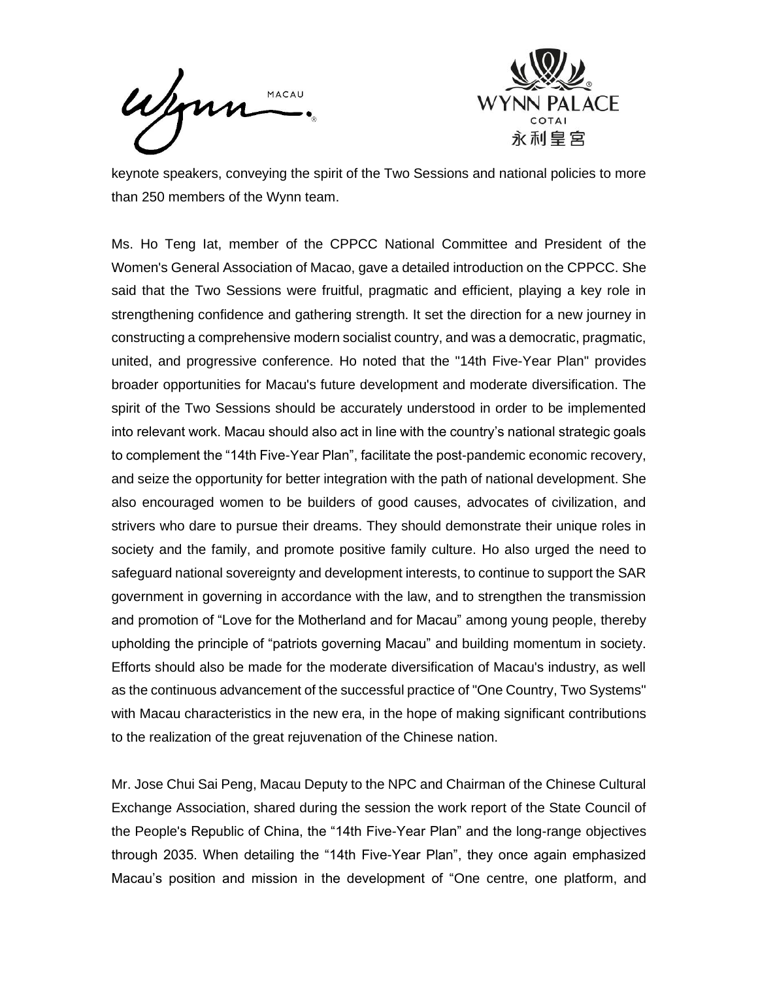MACAU



keynote speakers, conveying the spirit of the Two Sessions and national policies to more than 250 members of the Wynn team.

Ms. Ho Teng Iat, member of the CPPCC National Committee and President of the Women's General Association of Macao, gave a detailed introduction on the CPPCC. She said that the Two Sessions were fruitful, pragmatic and efficient, playing a key role in strengthening confidence and gathering strength. It set the direction for a new journey in constructing a comprehensive modern socialist country, and was a democratic, pragmatic, united, and progressive conference. Ho noted that the "14th Five-Year Plan" provides broader opportunities for Macau's future development and moderate diversification. The spirit of the Two Sessions should be accurately understood in order to be implemented into relevant work. Macau should also act in line with the country's national strategic goals to complement the "14th Five-Year Plan", facilitate the post-pandemic economic recovery, and seize the opportunity for better integration with the path of national development. She also encouraged women to be builders of good causes, advocates of civilization, and strivers who dare to pursue their dreams. They should demonstrate their unique roles in society and the family, and promote positive family culture. Ho also urged the need to safeguard national sovereignty and development interests, to continue to support the SAR government in governing in accordance with the law, and to strengthen the transmission and promotion of "Love for the Motherland and for Macau" among young people, thereby upholding the principle of "patriots governing Macau" and building momentum in society. Efforts should also be made for the moderate diversification of Macau's industry, as well as the continuous advancement of the successful practice of "One Country, Two Systems" with Macau characteristics in the new era, in the hope of making significant contributions to the realization of the great rejuvenation of the Chinese nation.

Mr. Jose Chui Sai Peng, Macau Deputy to the NPC and Chairman of the Chinese Cultural Exchange Association, shared during the session the work report of the State Council of the People's Republic of China, the "14th Five-Year Plan" and the long-range objectives through 2035. When detailing the "14th Five-Year Plan", they once again emphasized Macau's position and mission in the development of "One centre, one platform, and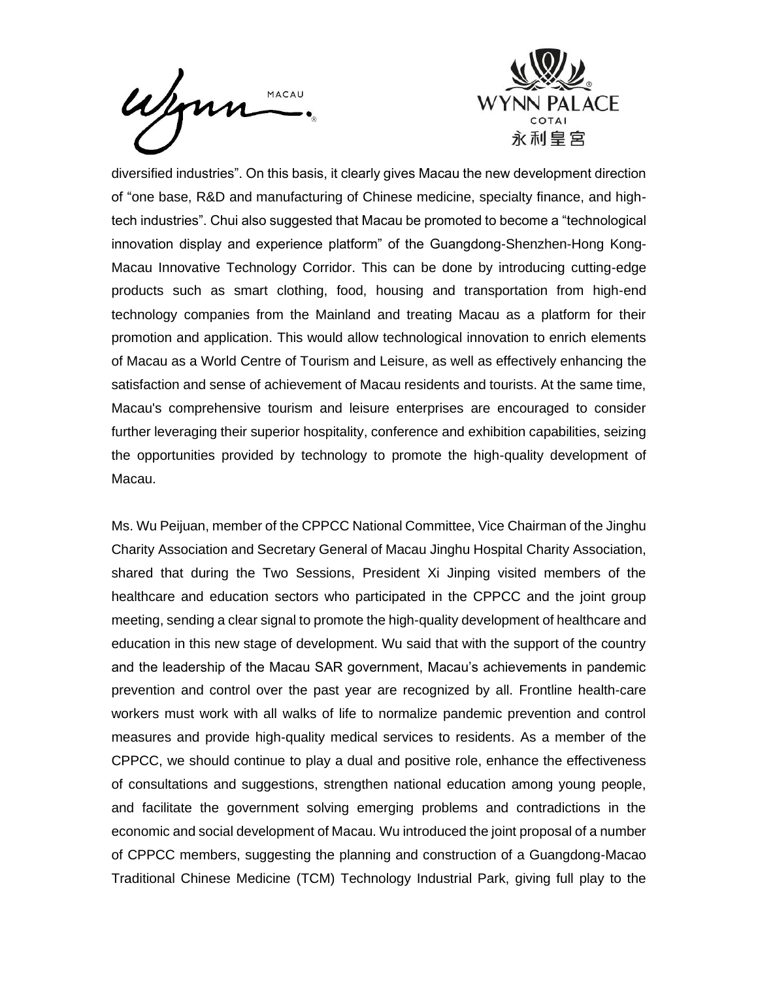



diversified industries". On this basis, it clearly gives Macau the new development direction of "one base, R&D and manufacturing of Chinese medicine, specialty finance, and hightech industries". Chui also suggested that Macau be promoted to become a "technological innovation display and experience platform" of the Guangdong-Shenzhen-Hong Kong-Macau Innovative Technology Corridor. This can be done by introducing cutting-edge products such as smart clothing, food, housing and transportation from high-end technology companies from the Mainland and treating Macau as a platform for their promotion and application. This would allow technological innovation to enrich elements of Macau as a World Centre of Tourism and Leisure, as well as effectively enhancing the satisfaction and sense of achievement of Macau residents and tourists. At the same time, Macau's comprehensive tourism and leisure enterprises are encouraged to consider further leveraging their superior hospitality, conference and exhibition capabilities, seizing the opportunities provided by technology to promote the high-quality development of Macau.

Ms. Wu Peijuan, member of the CPPCC National Committee, Vice Chairman of the Jinghu Charity Association and Secretary General of Macau Jinghu Hospital Charity Association, shared that during the Two Sessions, President Xi Jinping visited members of the healthcare and education sectors who participated in the CPPCC and the joint group meeting, sending a clear signal to promote the high-quality development of healthcare and education in this new stage of development. Wu said that with the support of the country and the leadership of the Macau SAR government, Macau's achievements in pandemic prevention and control over the past year are recognized by all. Frontline health-care workers must work with all walks of life to normalize pandemic prevention and control measures and provide high-quality medical services to residents. As a member of the CPPCC, we should continue to play a dual and positive role, enhance the effectiveness of consultations and suggestions, strengthen national education among young people, and facilitate the government solving emerging problems and contradictions in the economic and social development of Macau. Wu introduced the joint proposal of a number of CPPCC members, suggesting the planning and construction of a Guangdong-Macao Traditional Chinese Medicine (TCM) Technology Industrial Park, giving full play to the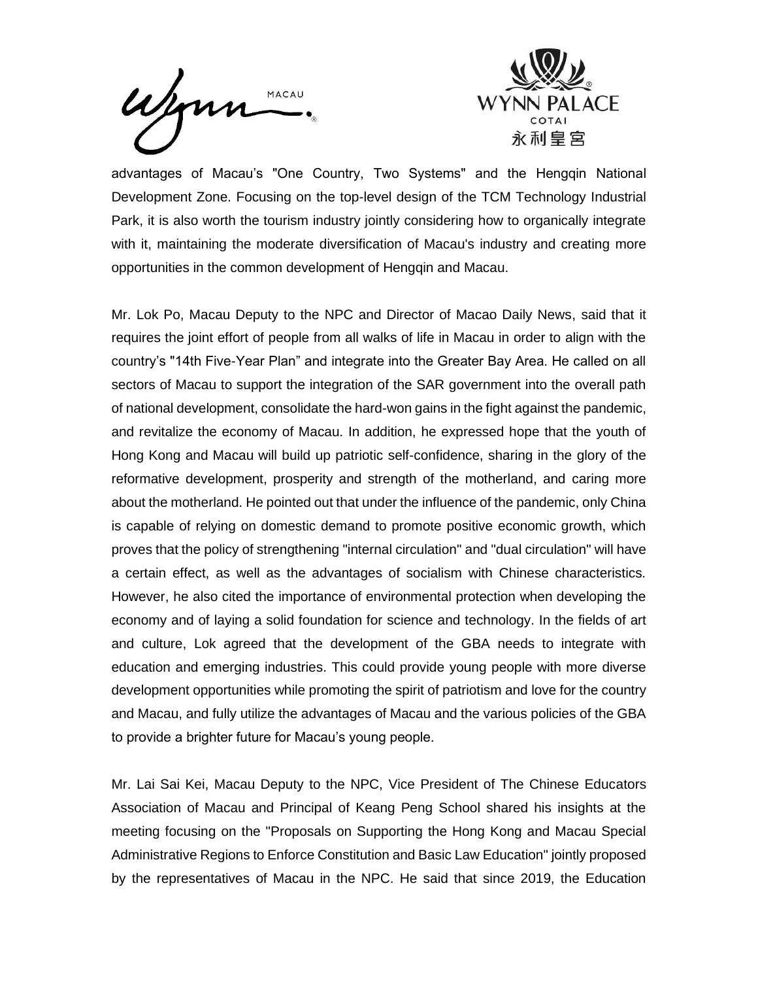Wynn MACAU



advantages of Macau's "One Country, Two Systems" and the Hengqin National Development Zone. Focusing on the top-level design of the TCM Technology Industrial Park, it is also worth the tourism industry jointly considering how to organically integrate with it, maintaining the moderate diversification of Macau's industry and creating more opportunities in the common development of Hengqin and Macau.

Mr. Lok Po, Macau Deputy to the NPC and Director of Macao Daily News, said that it requires the joint effort of people from all walks of life in Macau in order to align with the country's "14th Five-Year Plan" and integrate into the Greater Bay Area. He called on all sectors of Macau to support the integration of the SAR government into the overall path of national development, consolidate the hard-won gains in the fight against the pandemic, and revitalize the economy of Macau. In addition, he expressed hope that the youth of Hong Kong and Macau will build up patriotic self-confidence, sharing in the glory of the reformative development, prosperity and strength of the motherland, and caring more about the motherland. He pointed out that under the influence of the pandemic, only China is capable of relying on domestic demand to promote positive economic growth, which proves that the policy of strengthening "internal circulation" and "dual circulation" will have a certain effect, as well as the advantages of socialism with Chinese characteristics. However, he also cited the importance of environmental protection when developing the economy and of laying a solid foundation for science and technology. In the fields of art and culture, Lok agreed that the development of the GBA needs to integrate with education and emerging industries. This could provide young people with more diverse development opportunities while promoting the spirit of patriotism and love for the country and Macau, and fully utilize the advantages of Macau and the various policies of the GBA to provide a brighter future for Macau's young people.

Mr. Lai Sai Kei, Macau Deputy to the NPC, Vice President of The Chinese Educators Association of Macau and Principal of Keang Peng School shared his insights at the meeting focusing on the "Proposals on Supporting the Hong Kong and Macau Special Administrative Regions to Enforce Constitution and Basic Law Education" jointly proposed by the representatives of Macau in the NPC. He said that since 2019, the Education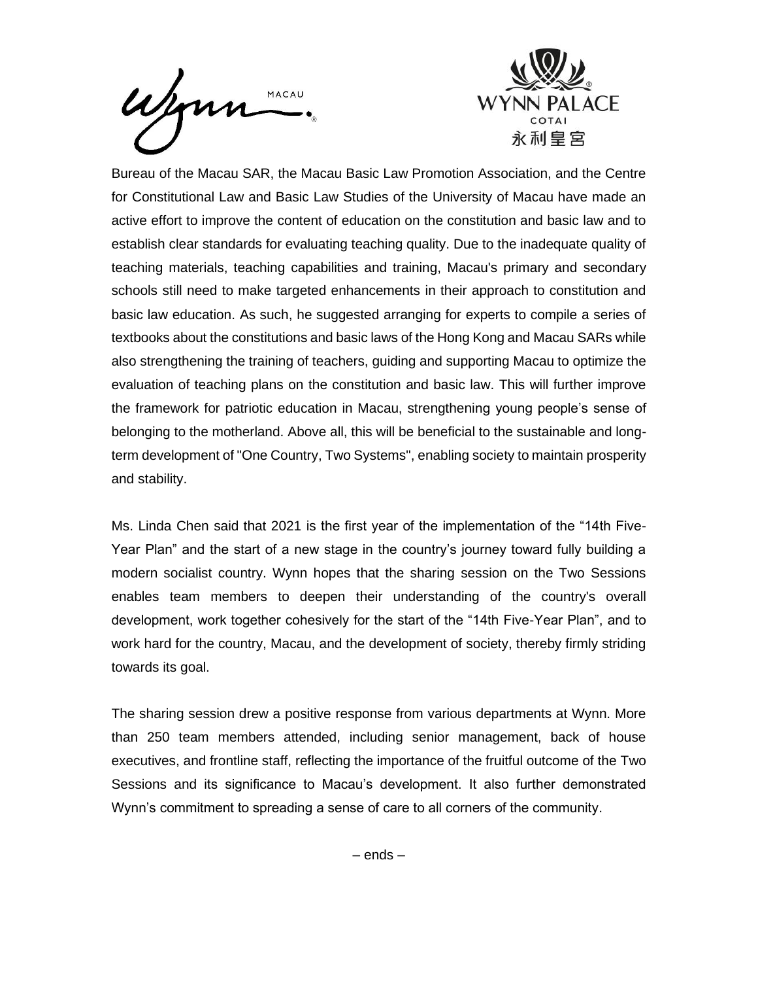



Bureau of the Macau SAR, the Macau Basic Law Promotion Association, and the Centre for Constitutional Law and Basic Law Studies of the University of Macau have made an active effort to improve the content of education on the constitution and basic law and to establish clear standards for evaluating teaching quality. Due to the inadequate quality of teaching materials, teaching capabilities and training, Macau's primary and secondary schools still need to make targeted enhancements in their approach to constitution and basic law education. As such, he suggested arranging for experts to compile a series of textbooks about the constitutions and basic laws of the Hong Kong and Macau SARs while also strengthening the training of teachers, guiding and supporting Macau to optimize the evaluation of teaching plans on the constitution and basic law. This will further improve the framework for patriotic education in Macau, strengthening young people's sense of belonging to the motherland. Above all, this will be beneficial to the sustainable and longterm development of "One Country, Two Systems", enabling society to maintain prosperity and stability.

Ms. Linda Chen said that 2021 is the first year of the implementation of the "14th Five-Year Plan" and the start of a new stage in the country's journey toward fully building a modern socialist country. Wynn hopes that the sharing session on the Two Sessions enables team members to deepen their understanding of the country's overall development, work together cohesively for the start of the "14th Five-Year Plan", and to work hard for the country, Macau, and the development of society, thereby firmly striding towards its goal.

The sharing session drew a positive response from various departments at Wynn. More than 250 team members attended, including senior management, back of house executives, and frontline staff, reflecting the importance of the fruitful outcome of the Two Sessions and its significance to Macau's development. It also further demonstrated Wynn's commitment to spreading a sense of care to all corners of the community.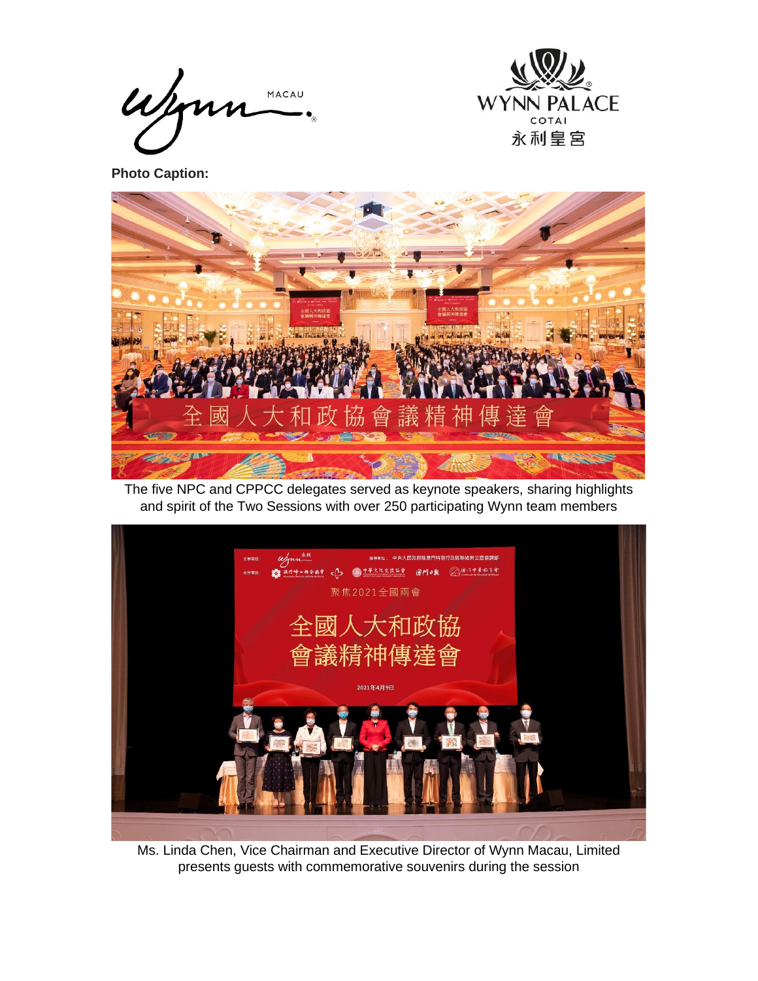Wym MACAU



**Photo Caption:**



The five NPC and CPPCC delegates served as keynote speakers, sharing highlights and spirit of the Two Sessions with over 250 participating Wynn team members



Ms. Linda Chen, Vice Chairman and Executive Director of Wynn Macau, Limited presents guests with commemorative souvenirs during the session